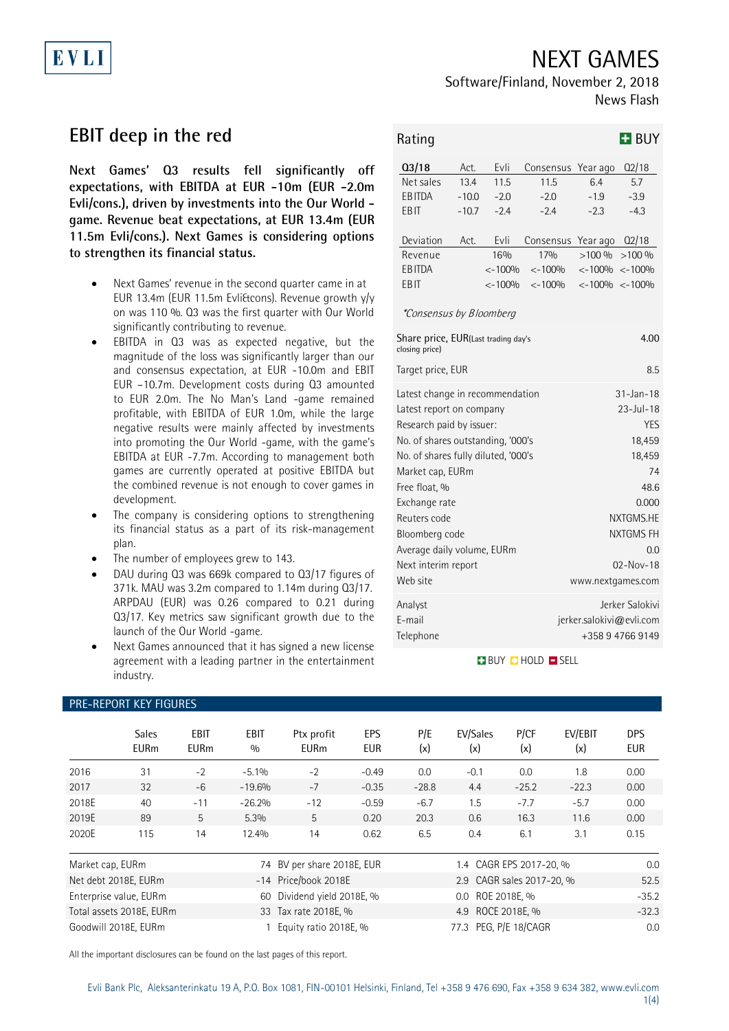## NEXT GAMES

# Software/Finland, November 2, 2018

News Flash

# **EBIT deep in the red**

EVLI

**Next Games' Q3 results fell significantly off expectations, with EBITDA at EUR -10m (EUR -2.0m Evli/cons.), driven by investments into the Our World game. Revenue beat expectations, at EUR 13.4m (EUR 11.5m Evli/cons.). Next Games is considering options to strengthen its financial status.**

- Next Games' revenue in the second quarter came in at EUR 13.4m (EUR 11.5m Evli&cons). Revenue growth y/y on was 110 %. Q3 was the first quarter with Our World significantly contributing to revenue.
- EBITDA in Q3 was as expected negative, but the magnitude of the loss was significantly larger than our and consensus expectation, at EUR -10.0m and EBIT EUR –10.7m. Development costs during Q3 amounted to EUR 2.0m. The No Man's Land -game remained profitable, with EBITDA of EUR 1.0m, while the large negative results were mainly affected by investments into promoting the Our World -game, with the game's EBITDA at EUR -7.7m. According to management both games are currently operated at positive EBITDA but the combined revenue is not enough to cover games in development.
- The company is considering options to strengthening its financial status as a part of its risk-management plan.
- The number of employees grew to 143.

PRE-REPORT KEY FIGURES

- DAU during Q3 was 669k compared to Q3/17 figures of 371k. MAU was 3.2m compared to 1.14m during Q3/17. ARPDAU (EUR) was 0.26 compared to 0.21 during Q3/17. Key metrics saw significant growth due to the launch of the Our World -game.
- Next Games announced that it has signed a new license agreement with a leading partner in the entertainment industry.

| Rating                                                |         |           |                    |                 | <b>H</b> BUY                                    |  |  |
|-------------------------------------------------------|---------|-----------|--------------------|-----------------|-------------------------------------------------|--|--|
| Q3/18                                                 | Act.    | Evli      | Consensus Year ago |                 | Q2/18                                           |  |  |
| Net sales                                             | 13.4    | 11.5      | 11.5               | 6.4             | 5.7                                             |  |  |
| EB ITDA                                               | $-10.0$ | $-2.0$    | $-2.0$             | $-1.9$          | $-3.9$                                          |  |  |
| EB IT                                                 | $-10.7$ | $-2.4$    | $-2.4$             | $-2.3$          | $-4.3$                                          |  |  |
| Deviation                                             | Act.    | Evli      | Consensus          | Year ago        | Q2/18                                           |  |  |
| Revenue                                               |         | 16%       | 17%                | >100%           | >100%                                           |  |  |
| <b>EBITDA</b>                                         |         | $< -100%$ | $< -100%$          |                 | $\langle -100\% \rangle \langle -100\% \rangle$ |  |  |
| <b>EBIT</b>                                           |         | $< -100%$ | $\leftarrow$ 100%  |                 | $\langle -100\% \rangle \langle -100\% \rangle$ |  |  |
| <i>*Consensus by Bloomberg</i>                        |         |           |                    |                 |                                                 |  |  |
| Share price, EUR(Last trading day's<br>closing price) |         | 4.00      |                    |                 |                                                 |  |  |
| Target price, EUR                                     |         |           |                    |                 | 8.5                                             |  |  |
| Latest change in recommendation                       |         |           | $31 - Jan - 18$    |                 |                                                 |  |  |
| Latest report on company                              |         |           |                    | $23 - Jul - 18$ |                                                 |  |  |
| Research paid by issuer:                              |         |           |                    | <b>YES</b>      |                                                 |  |  |
| No. of shares outstanding, '000's                     |         |           | 18,459             |                 |                                                 |  |  |
| No. of shares fully diluted, '000's                   |         |           | 18,459             |                 |                                                 |  |  |
| Market cap, EURm                                      |         |           |                    |                 | 74                                              |  |  |
| Free float, %                                         |         |           |                    |                 | 48.6                                            |  |  |
| Exchange rate                                         |         |           |                    |                 | 0.000                                           |  |  |
| Reuters code                                          |         |           |                    |                 | NXTGMS.HE                                       |  |  |
| Bloomberg code                                        |         |           |                    |                 | NXTGMS FH                                       |  |  |
| Average daily volume, EURm                            |         |           |                    |                 | 0.0                                             |  |  |
| Next interim report                                   |         |           | $02 - Nov - 18$    |                 |                                                 |  |  |
| Web site                                              |         |           |                    |                 | www.nextgames.com                               |  |  |
| Analyst                                               |         |           |                    |                 | Jerker Salokivi                                 |  |  |
| E-mail                                                |         |           |                    |                 | jerker.salokivi@evli.com                        |  |  |
| Telephone                                             |         |           |                    |                 | +358947669149                                   |  |  |
|                                                       |         |           |                    |                 |                                                 |  |  |

### **BUY CHOLD ESELL**

|                  | <b>Sales</b><br><b>EURm</b> | <b>EBIT</b><br><b>EURm</b> | <b>EBIT</b><br>0/0 | Ptx profit<br><b>EURm</b>  | <b>EPS</b><br><b>EUR</b> | P/E<br>(x) | EV/Sales<br>(x)           | P/CF<br>(x) | EV/EBIT<br>(x) | <b>DPS</b><br><b>EUR</b> |
|------------------|-----------------------------|----------------------------|--------------------|----------------------------|--------------------------|------------|---------------------------|-------------|----------------|--------------------------|
| 2016             | 31                          | $-2$                       | $-5.1\%$           | $-2$                       | $-0.49$                  | 0.0        | $-0.1$                    | 0.0         | 1.8            | 0.00                     |
| 2017             | 32                          | $-6$                       | $-19.6%$           | $-7$                       | $-0.35$                  | $-28.8$    | 4.4                       | $-25.2$     | $-22.3$        | 0.00                     |
| 2018E            | 40                          | $-11$                      | $-26.2%$           | $-12$                      | $-0.59$                  | $-6.7$     | 1.5                       | $-7.7$      | $-5.7$         | 0.00                     |
| 2019E            | 89                          | 5                          | 5.3%               | 5                          | 0.20                     | 20.3       | 0.6                       | 16.3        | 11.6           | 0.00                     |
| 2020E            | 115                         | 14                         | 12.4%              | 14                         | 0.62                     | 6.5        | 0.4                       | 6.1         | 3.1            | 0.15                     |
| Market cap, EURm |                             |                            |                    | 74 BV per share 2018E, EUR |                          |            | 1.4 CAGR EPS 2017-20, %   |             |                | 0.0                      |
|                  | Net debt 2018E, EURm        |                            |                    | -14 Price/book 2018E       |                          |            | 2.9 CAGR sales 2017-20, % |             |                | 52.5                     |
|                  | Enterprise value, EURm      |                            | 60                 | Dividend yield 2018E, %    |                          |            | 0.0 ROE 2018E, %          |             |                | $-35.2$                  |
|                  | Total assets 2018E, EURm    |                            |                    | 33 Tax rate 2018E, %       |                          |            | 4.9 ROCE 2018E, %         |             |                | $-32.3$                  |
|                  | Goodwill 2018E, EURm        |                            |                    | Equity ratio 2018E, %      |                          |            | 77.3 PEG, P/E 18/CAGR     |             |                | 0.0                      |

All the important disclosures can be found on the last pages of this report.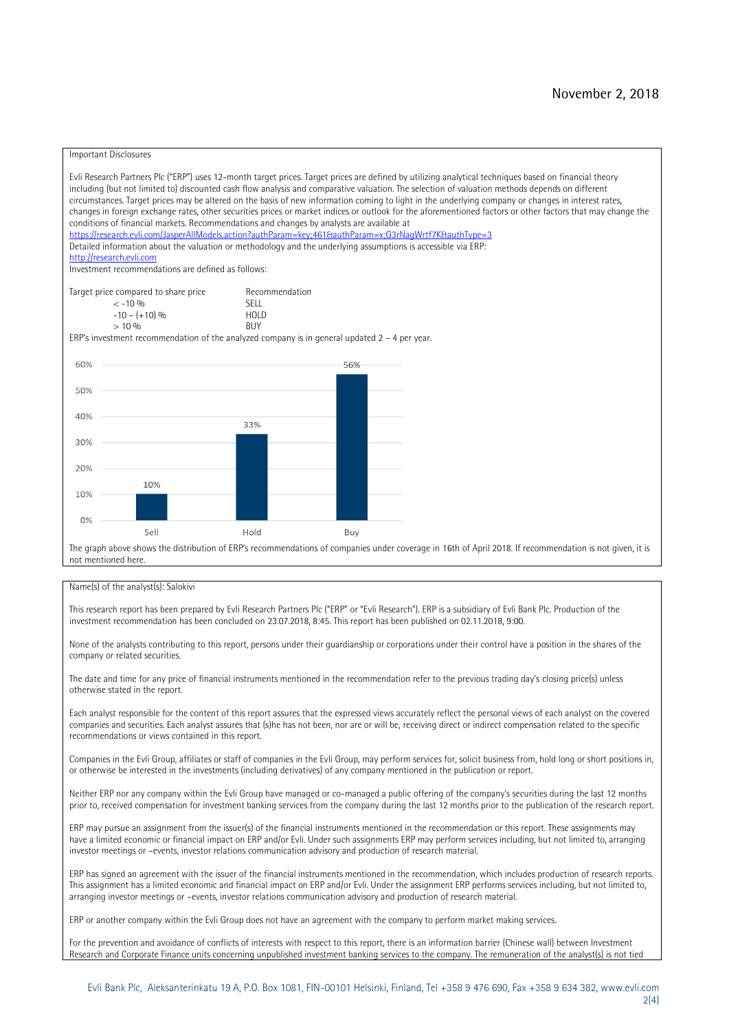#### Important Disclosures

Evli Research Partners Plc ("ERP") uses 12-month target prices. Target prices are defined by utilizing analytical techniques based on financial theory including (but not limited to) discounted cash flow analysis and comparative valuation. The selection of valuation methods depends on different circumstances. Target prices may be altered on the basis of new information coming to light in the underlying company or changes in interest rates, changes in foreign exchange rates, other securities prices or market indices or outlook for the aforementioned factors or other factors that may change the conditions of financial markets. Recommendations and changes by analysts are available at <https://research.evli.com/JasperAllModels.action?authParam=key;461&authParam=x;G3rNagWrtf7K&authType=3> Detailed information about the valuation or methodology and the underlying assumptions is accessible via ERP: [http://research.evli.com](http://research.evli.com/) Investment recommendations are defined as follows: Target price compared to share price Recommendation<br> $\leq 10\%$  $\langle 5, -10, 9 \rangle$  SELL<br>  $\langle -10, - (+10), 9 \rangle$  HOLD  $-10 - (+10) \%$  HOL<br>  $> 10 \%$  $> 10\%$ ERP's investment recommendation of the analyzed company is in general updated  $2 - 4$  per year. 60% 56% 50% 40% 33%  $30%$ 20% 10% 10%  $0%$ Sell Hold Buy The graph above shows the distribution of ERP's recommendations of companies under coverage in 16th of April 2018. If recommendation is not given, it is not mentioned here.

#### Name(s) of the analyst(s): Salokivi

This research report has been prepared by Evli Research Partners Plc ("ERP" or "Evli Research"). ERP is a subsidiary of Evli Bank Plc. Production of the investment recommendation has been concluded on 23.07.2018, 8:45. This report has been published on 02.11.2018, 9:00.

None of the analysts contributing to this report, persons under their guardianship or corporations under their control have a position in the shares of the company or related securities.

The date and time for any price of financial instruments mentioned in the recommendation refer to the previous trading day's closing price(s) unless otherwise stated in the report.

Each analyst responsible for the content of this report assures that the expressed views accurately reflect the personal views of each analyst on the covered companies and securities. Each analyst assures that (s)he has not been, nor are or will be, receiving direct or indirect compensation related to the specific recommendations or views contained in this report.

Companies in the Evli Group, affiliates or staff of companies in the Evli Group, may perform services for, solicit business from, hold long or short positions in, or otherwise be interested in the investments (including derivatives) of any company mentioned in the publication or report.

Neither ERP nor any company within the Evli Group have managed or co-managed a public offering of the company's securities during the last 12 months prior to, received compensation for investment banking services from the company during the last 12 months prior to the publication of the research report.

ERP may pursue an assignment from the issuer(s) of the financial instruments mentioned in the recommendation or this report. These assignments may have a limited economic or financial impact on ERP and/or Evli. Under such assignments ERP may perform services including, but not limited to, arranging investor meetings or –events, investor relations communication advisory and production of research material.

ERP has signed an agreement with the issuer of the financial instruments mentioned in the recommendation, which includes production of research reports. This assignment has a limited economic and financial impact on ERP and/or Evli. Under the assignment ERP performs services including, but not limited to, arranging investor meetings or –events, investor relations communication advisory and production of research material.

ERP or another company within the Evli Group does not have an agreement with the company to perform market making services.

For the prevention and avoidance of conflicts of interests with respect to this report, there is an information barrier (Chinese wall) between Investment Research and Corporate Finance units concerning unpublished investment banking services to the company. The remuneration of the analyst(s) is not tied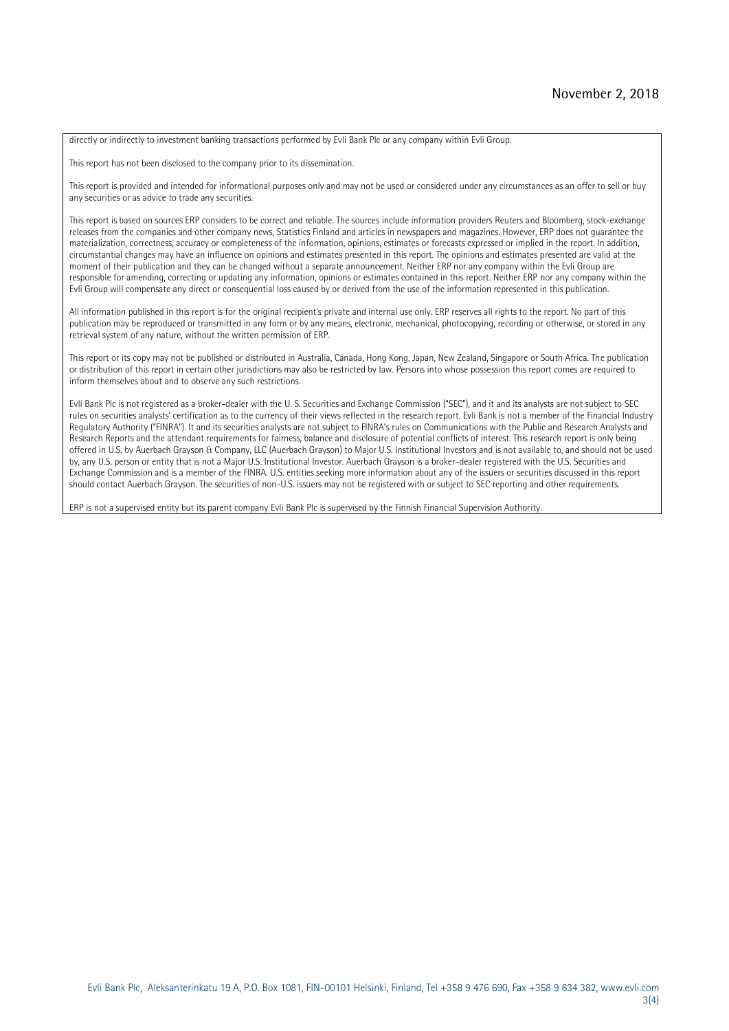directly or indirectly to investment banking transactions performed by Evli Bank Plc or any company within Evli Group.

This report has not been disclosed to the company prior to its dissemination.

This report is provided and intended for informational purposes only and may not be used or considered under any circumstances as an offer to sell or buy any securities or as advice to trade any securities.

This report is based on sources ERP considers to be correct and reliable. The sources include information providers Reuters and Bloomberg, stock-exchange releases from the companies and other company news, Statistics Finland and articles in newspapers and magazines. However, ERP does not guarantee the materialization, correctness, accuracy or completeness of the information, opinions, estimates or forecasts expressed or implied in the report. In addition, circumstantial changes may have an influence on opinions and estimates presented in this report. The opinions and estimates presented are valid at the moment of their publication and they can be changed without a separate announcement. Neither ERP nor any company within the Evli Group are responsible for amending, correcting or updating any information, opinions or estimates contained in this report. Neither ERP nor any company within the Evli Group will compensate any direct or consequential loss caused by or derived from the use of the information represented in this publication.

All information published in this report is for the original recipient's private and internal use only. ERP reserves all rights to the report. No part of this publication may be reproduced or transmitted in any form or by any means, electronic, mechanical, photocopying, recording or otherwise, or stored in any retrieval system of any nature, without the written permission of ERP.

This report or its copy may not be published or distributed in Australia, Canada, Hong Kong, Japan, New Zealand, Singapore or South Africa. The publication or distribution of this report in certain other jurisdictions may also be restricted by law. Persons into whose possession this report comes are required to inform themselves about and to observe any such restrictions.

Evli Bank Plc is not registered as a broker-dealer with the U. S. Securities and Exchange Commission ("SEC"), and it and its analysts are not subject to SEC rules on securities analysts' certification as to the currency of their views reflected in the research report. Evli Bank is not a member of the Financial Industry Regulatory Authority ("FINRA"). It and its securities analysts are not subject to FINRA's rules on Communications with the Public and Research Analysts and Research Reports and the attendant requirements for fairness, balance and disclosure of potential conflicts of interest. This research report is only being offered in U.S. by Auerbach Grayson & Company, LLC (Auerbach Grayson) to Major U.S. Institutional Investors and is not available to, and should not be used by, any U.S. person or entity that is not a Major U.S. Institutional Investor. Auerbach Grayson is a broker-dealer registered with the U.S. Securities and Exchange Commission and is a member of the FINRA. U.S. entities seeking more information about any of the issuers or securities discussed in this report should contact Auerbach Grayson. The securities of non-U.S. issuers may not be registered with or subject to SEC reporting and other requirements.

ERP is not a supervised entity but its parent company Evli Bank Plc is supervised by the Finnish Financial Supervision Authority.